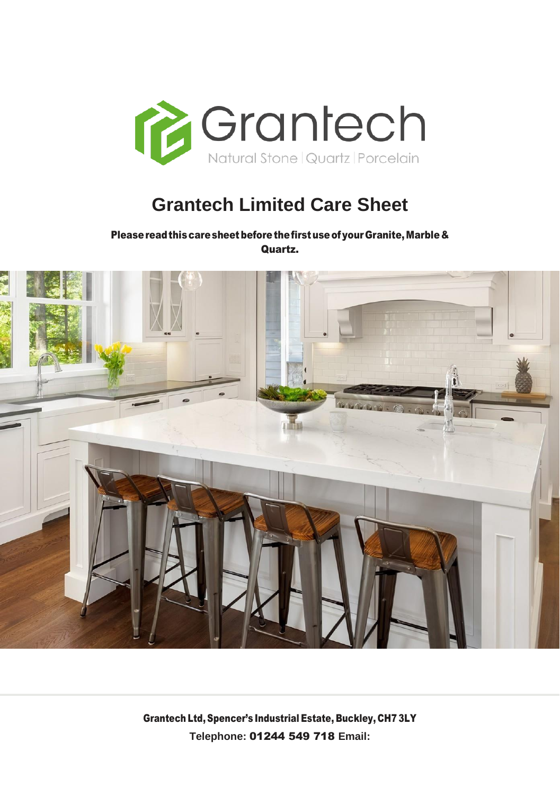

# **Grantech Limited Care Sheet**

Please read this care sheet before the first use of your Granite, Marble & Quartz.

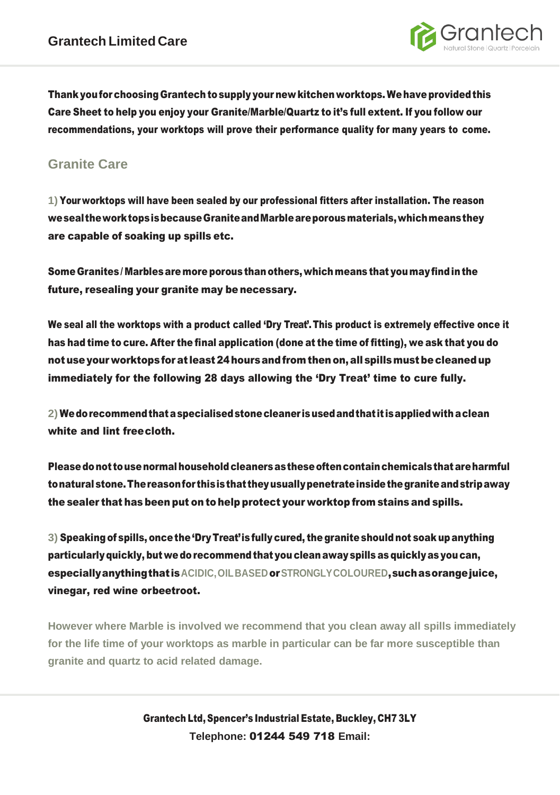

Thank you for choosing Grantech to supply your new kitchen worktops. We have provided this Care Sheet to help you enjoy your Granite/Marble/Quartz to it's full extent. If you follow our recommendations, your worktops will prove their performance quality for many years to come.

## **Granite Care**

**1)** Your worktops will have been sealed by our professional fitters after installation. The reason weseal theworktopsisbecauseGraniteandMarbleareporousmaterials,whichmeansthey are capable of soaking up spills etc.

Some Granites/ Marblesaremore porous thanothers,whichmeans that youmayfindinthe future, resealing your granite may be necessary.

We seal all the worktops with a product called 'Dry Treat'.This product is extremely effective once it has had time to cure. After the final application (done at the time of fitting), we ask that you do notuseyour worktopsforat least24hoursandfromthenon,allspillsmustbecleanedup immediately for the following 28 days allowing the 'Dry Treat' time to cure fully.

**2)** Wedorecommendthataspecialisedstonecleaner isusedandthat it isappliedwithaclean white and lint freecloth.

Pleasedonot tousenormalhouseholdcleanersastheseoftencontainchemicalsthatareharmful tonaturalstone.Thereasonfor thisisthat theyusuallypenetrateinsidethegraniteandstripaway the sealer that has been put on to help protect your worktop from stains and spills.

**3)** Speakingof spills, oncethe'Dry Treat'is fully cured, the graniteshouldnot soak up anything particularlyquickly, but wedorecommendthat you cleanaway spills as quicklyas youcan, especiallyanythingthat is**ACIDIC,OILBASED**or**STRONGLYCOLOURED**,suchasorangejuice, vinegar, red wine orbeetroot.

**However where Marble is involved we recommend that you clean away all spills immediately for the life time of your worktops as marble in particular can be far more susceptible than granite and quartz to acid related damage.**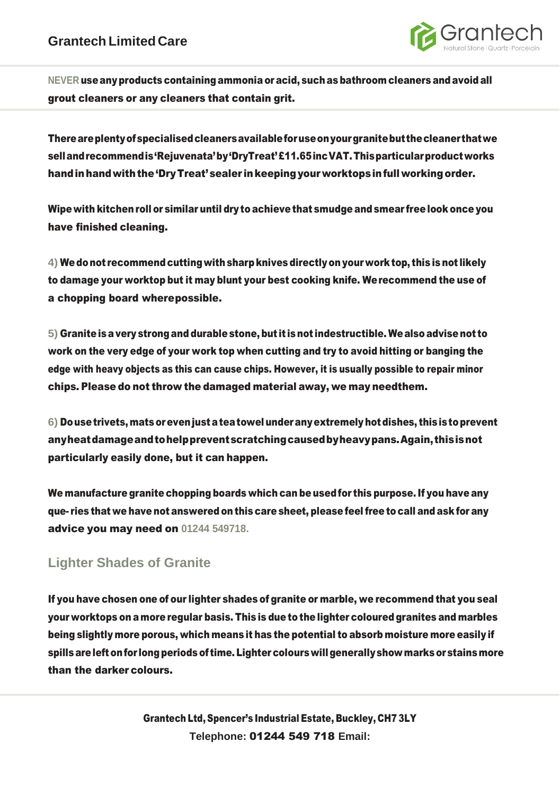

**NEVER** useanyproducts containingammonia oracid, suchas bathroom cleaners andavoid all grout cleaners or any cleaners that contain grit.

Thereareplentyofspecialisedcleanersavailableforuseonyourgranitebutthecleaner thatwe sellandrecommendis'Rejuvenata'by'DryTreat'£11.65incVAT.Thisparticularproductworks hand in hand with the 'Dry Treat' sealer in keeping your worktops in full working order.

Wipewith kitchenroll or similar until dry to achievethat smudge andsmear freelook once you have finished cleaning.

**4)** Wedonot recommendcuttingwithsharpknives directlyonyour worktop, this is not likely to damage your worktop but it may blunt your best cooking knife. Werecommend the use of a chopping board wherepossible.

**5)** Graniteisavery strongand durablestone, but it isnot indestructible. Wealsoadvisenot to work on the very edge of your work top when cutting and try to avoid hitting or banging the edge with heavy objects as this can cause chips. However, it is usually possible to repair minor chips. Please do not throw the damaged material away, we may needthem.

**6)** Dousetrivets, matsorevenjustateatowel underanyextremelyhotdishes, thisistoprevent anyheatdamageandtohelppreventscratchingcausedbyheavypans.Again,thisisnot particularly easily done, but it can happen.

We manufacture granite chopping boards which can be usedfor this purpose.If you have any que- ries that we have not answered on this care sheet, please feelfree to call and ask for any advice you may need on **01244 549718.**

## **Lighter Shades of Granite**

If you have chosen one of our lighter shades of granite or marble, we recommend that you seal your worktops on a more regular basis. This is due to the lighter coloured granites and marbles being slightly more porous, which means it has the potential to absorb moisture more easily if spills are left on for long periods of time. Lighter colours will generally show marks or stains more than the darker colours.